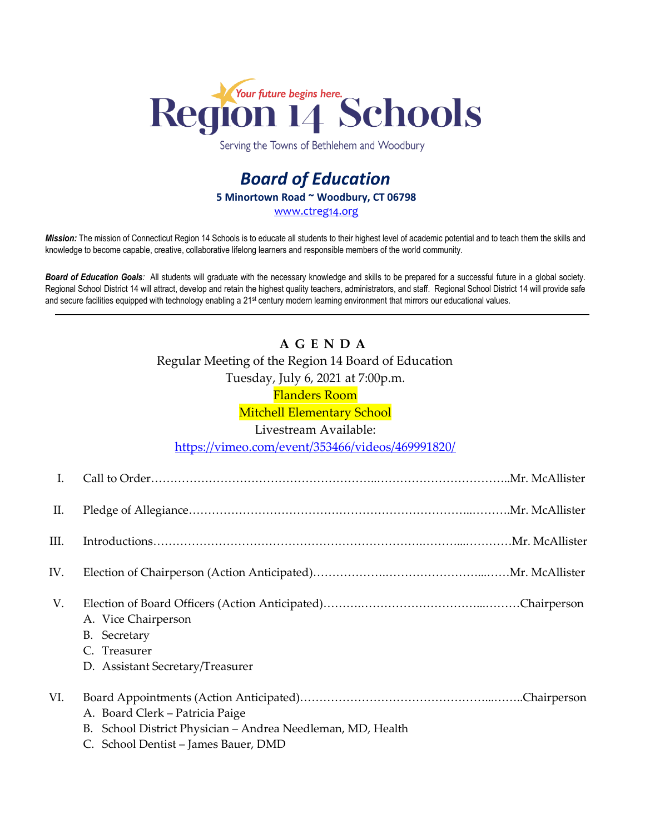

Serving the Towns of Bethlehem and Woodbury

## *Board of Education* **5 Minortown Road ~ Woodbury, CT 06798** [www.ctreg14.org](http://www.ctreg14.org/)

*Mission:* The mission of Connecticut Region 14 Schools is to educate all students to their highest level of academic potential and to teach them the skills and knowledge to become capable, creative, collaborative lifelong learners and responsible members of the world community.

*Board of Education Goals:* All students will graduate with the necessary knowledge and skills to be prepared for a successful future in a global society. Regional School District 14 will attract, develop and retain the highest quality teachers, administrators, and staff. Regional School District 14 will provide safe and secure facilities equipped with technology enabling a 21<sup>st</sup> century modern learning environment that mirrors our educational values.

# **A G E N D A** Regular Meeting of the Region 14 Board of Education Tuesday, July 6, 2021 at 7:00p.m.

Flanders Room

Mitchell Elementary School

### Livestream Available:

<https://vimeo.com/event/353466/videos/469991820/>

| I.   |                                                                                                                                        |
|------|----------------------------------------------------------------------------------------------------------------------------------------|
| П.   |                                                                                                                                        |
| III. |                                                                                                                                        |
| IV.  |                                                                                                                                        |
| V.   | A. Vice Chairperson<br>B. Secretary<br>C. Treasurer<br>D. Assistant Secretary/Treasurer                                                |
| VI.  | A. Board Clerk – Patricia Paige<br>B. School District Physician - Andrea Needleman, MD, Health<br>C. School Dentist – James Bauer, DMD |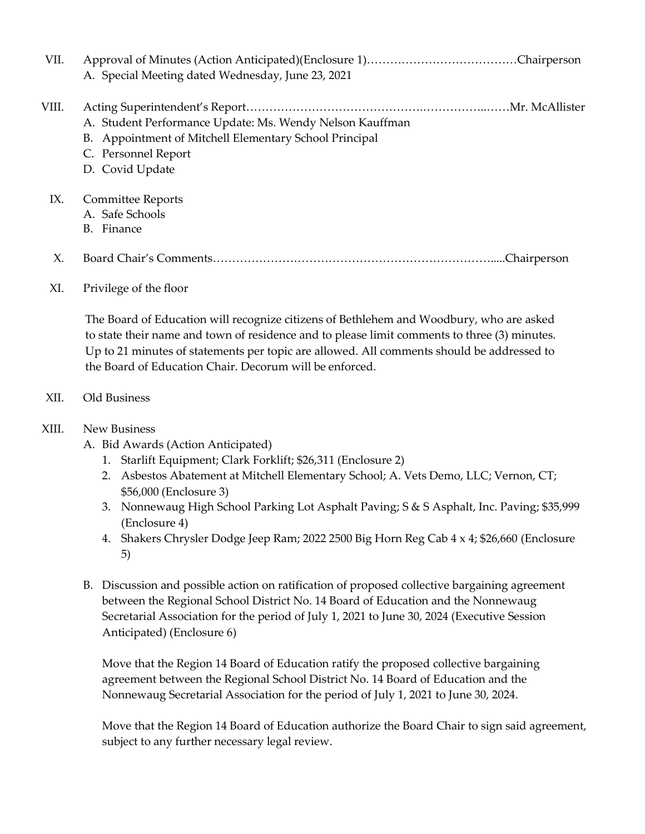| VII.  | A. Special Meeting dated Wednesday, June 23, 2021                                                                                                            |
|-------|--------------------------------------------------------------------------------------------------------------------------------------------------------------|
| VIII. | A. Student Performance Update: Ms. Wendy Nelson Kauffman<br>B. Appointment of Mitchell Elementary School Principal<br>C. Personnel Report<br>D. Covid Update |
| IX.   | Committee Reports<br>A. Safe Schools<br>B. Finance                                                                                                           |
| Х.    |                                                                                                                                                              |

### XI. Privilege of the floor

 The Board of Education will recognize citizens of Bethlehem and Woodbury, who are asked to state their name and town of residence and to please limit comments to three (3) minutes. Up to 21 minutes of statements per topic are allowed. All comments should be addressed to the Board of Education Chair. Decorum will be enforced.

### XII. Old Business

### XIII. New Business

- A. Bid Awards (Action Anticipated)
	- 1. Starlift Equipment; Clark Forklift; \$26,311 (Enclosure 2)
	- 2. Asbestos Abatement at Mitchell Elementary School; A. Vets Demo, LLC; Vernon, CT; \$56,000 (Enclosure 3)
	- 3. Nonnewaug High School Parking Lot Asphalt Paving; S & S Asphalt, Inc. Paving; \$35,999 (Enclosure 4)
	- 4. Shakers Chrysler Dodge Jeep Ram; 2022 2500 Big Horn Reg Cab 4 x 4; \$26,660 (Enclosure 5)
- B. Discussion and possible action on ratification of proposed collective bargaining agreement between the Regional School District No. 14 Board of Education and the Nonnewaug Secretarial Association for the period of July 1, 2021 to June 30, 2024 (Executive Session Anticipated) (Enclosure 6)

Move that the Region 14 Board of Education ratify the proposed collective bargaining agreement between the Regional School District No. 14 Board of Education and the Nonnewaug Secretarial Association for the period of July 1, 2021 to June 30, 2024.

Move that the Region 14 Board of Education authorize the Board Chair to sign said agreement, subject to any further necessary legal review.